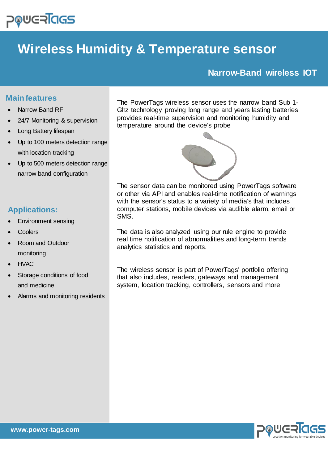

# **Wireless Humidity & Temperature sensor**

# **Narrow-Band wireless IOT**

## **Main features**

- Narrow Band RF
- 24/7 Monitoring & supervision
- Long Battery lifespan
- Up to 100 meters detection range with location tracking
- Up to 500 meters detection range narrow band configuration

# **Applications:**

- Environment sensing
- **Coolers**
- Room and Outdoor monitoring
- HVAC
- Storage conditions of food and medicine
- Alarms and monitoring residents

The PowerTags wireless sensor uses the narrow band Sub 1- Ghz technology proving long range and years lasting batteries provides real-time supervision and monitoring humidity and temperature around the device's probe



The sensor data can be monitored using PowerTags software or other via API and enables real-time notification of warnings with the sensor's status to a variety of media's that includes computer stations, mobile devices via audible alarm, email or SMS.

The data is also analyzed using our rule engine to provide real time notification of abnormalities and long-term trends analytics statistics and reports.

The wireless sensor is part of PowerTags' portfolio offering that also includes, readers, gateways and management system, location tracking, controllers, sensors and more

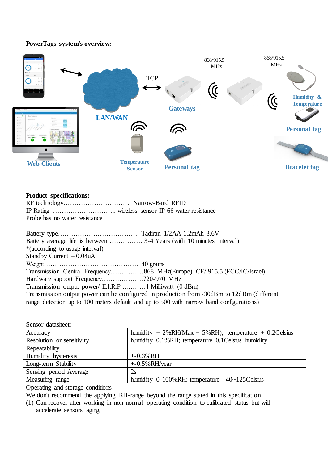#### **PowerTags system's overview:**



#### **Product specifications:**

| Probe has no water resistance |  |  |
|-------------------------------|--|--|

| *(according to usage interval)                                                            |  |  |
|-------------------------------------------------------------------------------------------|--|--|
| Standby Current $-0.04$ uA                                                                |  |  |
|                                                                                           |  |  |
| Transmission Central Frequency868 MHz(Europe) CE/ 915.5 (FCC/IC/Israel)                   |  |  |
|                                                                                           |  |  |
|                                                                                           |  |  |
| Transmission output power can be configured in production from -30dBm to 12dBm (different |  |  |
| range detection up to 100 meters default and up to 500 with narrow band configurations)   |  |  |

| Sensor datasheet:         |                                                           |
|---------------------------|-----------------------------------------------------------|
| Accuracy                  | humidity $+2\%RH(Max +5\%RH);$ temperature $+0.2C$ elsius |
| Resolution or sensitivity | humidity 0.1%RH; temperature 0.1 Celsius humidity         |
| Repeatability             |                                                           |
| Humidity hysteresis       | $+ -0.3\% RH$                                             |
| Long-term Stability       | $+$ -0.5%RH/year                                          |
| Sensing period Average    | 2s                                                        |
| Measuring range           | humidity $0-100\%$ RH; temperature $-40-125$ Celsius      |
|                           |                                                           |

Operating and storage conditions:

We don't recommend the applying RH-range beyond the range stated in this specification

(1) Can recover after working in non-normal operating condition to calibrated status but will accelerate sensors' aging.